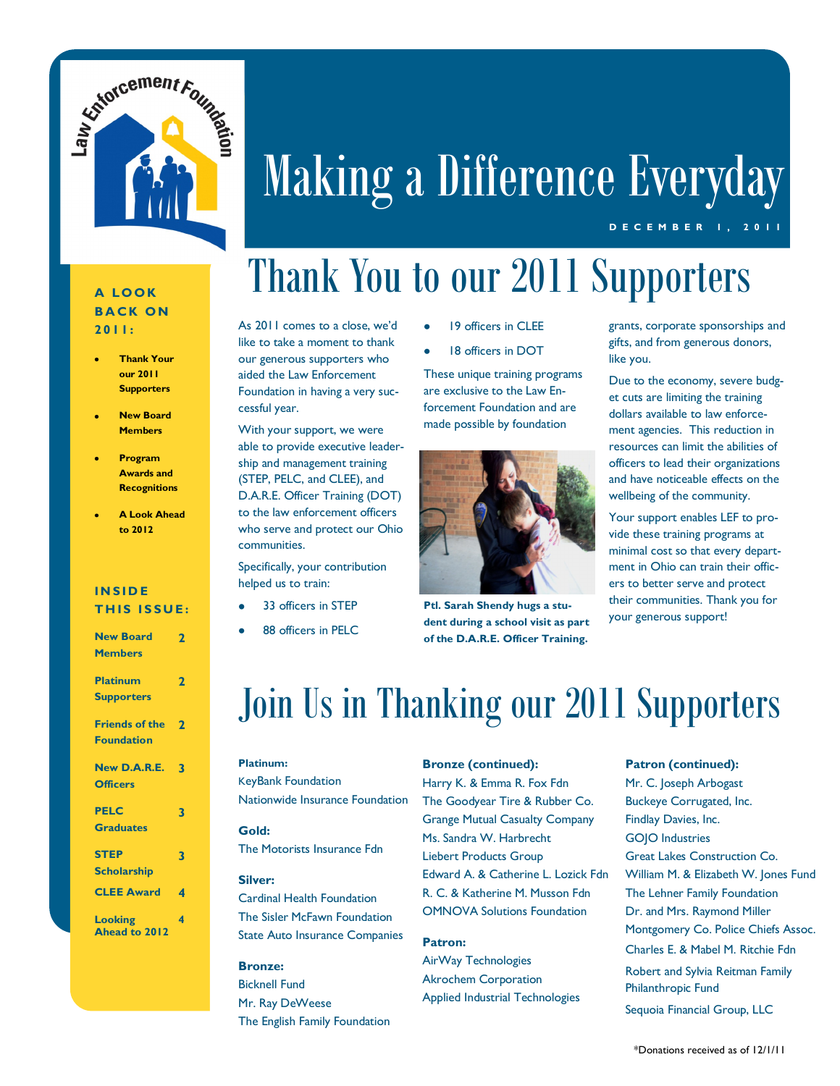

# Making a Difference Everyday

#### **D E C E M B E R 1 , 2 0 1 1**

### **A LOOK BACK ON 2011:**

- **Thank Your our 2011 Supporters**
- **New Board Members**
- **Program Awards and Recognitions**
- **A Look Ahead to 2012**

### **I N S I D E THIS ISSUE:**

| <b>New Board</b>      | $\overline{2}$          |
|-----------------------|-------------------------|
| <b>Members</b>        |                         |
| <b>Platinum</b>       | 2                       |
| <b>Supporters</b>     |                         |
| <b>Friends of the</b> | $\overline{\mathbf{2}}$ |
| <b>Foundation</b>     |                         |
| New D.A.R.E.          | 3                       |
| <b>Officers</b>       |                         |
| <b>PELC</b>           | 3                       |
| <b>Graduates</b>      |                         |
| <b>STEP</b>           | 3                       |
| <b>Scholarship</b>    |                         |
| <b>CLEE Award</b>     | 4                       |
| <b>Looking</b>        | 4                       |
| Ahead to 2012         |                         |

## Thank You to our 2011 Supporters

As 2011 comes to a close, we'd like to take a moment to thank our generous supporters who aided the Law Enforcement Foundation in having a very successful year.

With your support, we were able to provide executive leadership and management training (STEP, PELC, and CLEE), and D.A.R.E. Officer Training (DOT) to the law enforcement officers who serve and protect our Ohio communities.

Specifically, your contribution helped us to train:

- 33 officers in STEP
- 88 officers in PELC
- 19 officers in CLEE
- 18 officers in DOT

These unique training programs are exclusive to the Law Enforcement Foundation and are made possible by foundation



**Ptl. Sarah Shendy hugs a student during a school visit as part of the D.A.R.E. Officer Training.**

grants, corporate sponsorships and gifts, and from generous donors, like you.

Due to the economy, severe budget cuts are limiting the training dollars available to law enforcement agencies. This reduction in resources can limit the abilities of officers to lead their organizations and have noticeable effects on the wellbeing of the community.

Your support enables LEF to provide these training programs at minimal cost so that every department in Ohio can train their officers to better serve and protect their communities. Thank you for your generous support!

### Join Us in Thanking our 2011 Supporters

### **Platinum:**

KeyBank Foundation Nationwide Insurance Foundation **Gold:**

The Motorists Insurance Fdn

#### **Silver:**

Cardinal Health Foundation The Sisler McFawn Foundation State Auto Insurance Companies

#### **Bronze:**

Bicknell Fund Mr. Ray DeWeese The English Family Foundation **Bronze (continued):**

Harry K. & Emma R. Fox Fdn The Goodyear Tire & Rubber Co. Grange Mutual Casualty Company Ms. Sandra W. Harbrecht Liebert Products Group Edward A. & Catherine L. Lozick Fdn R. C. & Katherine M. Musson Fdn OMNOVA Solutions Foundation

### **Patron:**

AirWay Technologies Akrochem Corporation Applied Industrial Technologies

#### **Patron (continued):**

Mr. C. Joseph Arbogast Buckeye Corrugated, Inc. Findlay Davies, Inc. GOJO Industries Great Lakes Construction Co. William M. & Elizabeth W. Jones Fund The Lehner Family Foundation Dr. and Mrs. Raymond Miller Montgomery Co. Police Chiefs Assoc. Charles E. & Mabel M. Ritchie Fdn Robert and Sylvia Reitman Family Philanthropic Fund Sequoia Financial Group, LLC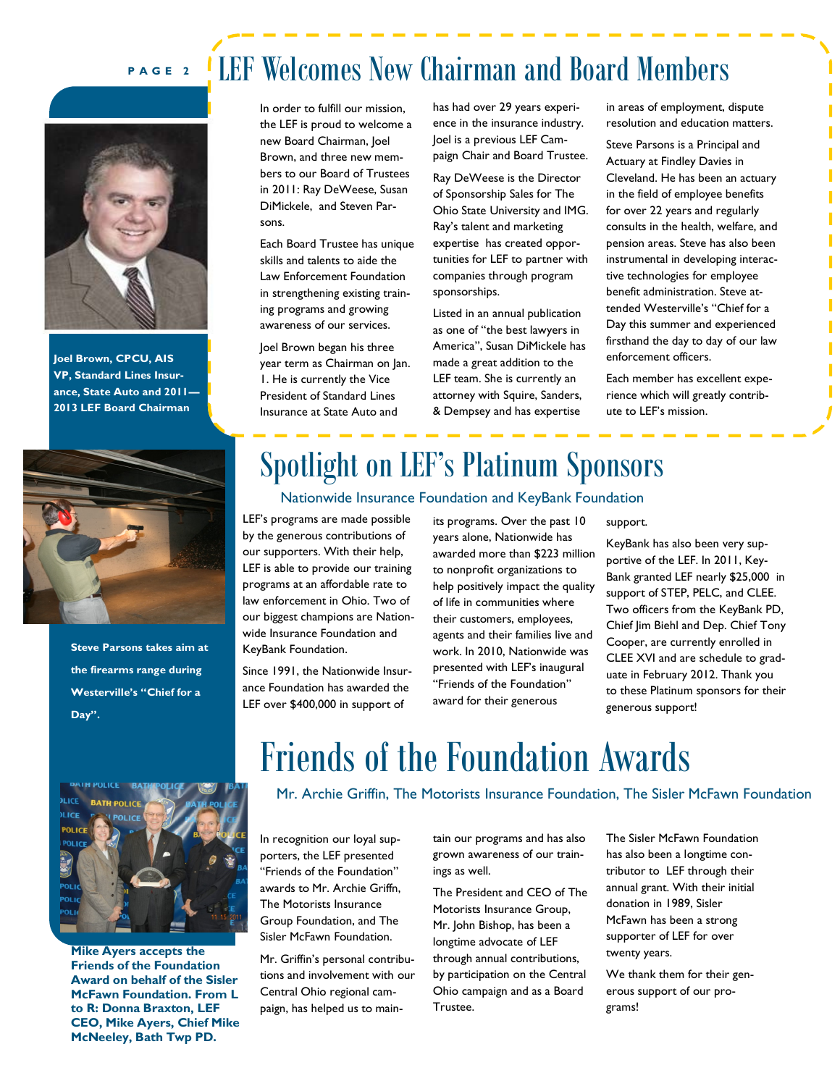### **P A G E 2** LEF Welcomes New Chairman and Board Members



**Joel Brown, CPCU, AIS VP, Standard Lines Insurance, State Auto and 2011— 2013 LEF Board Chairman**



**Steve Parsons takes aim at the firearms range during Westerville's "Chief for a Day".**

In order to fulfill our mission, the LEF is proud to welcome a new Board Chairman, Joel Brown, and three new members to our Board of Trustees in 2011: Ray DeWeese, Susan DiMickele, and Steven Parsons.

Each Board Trustee has unique skills and talents to aide the Law Enforcement Foundation in strengthening existing training programs and growing awareness of our services.

Joel Brown began his three year term as Chairman on Jan. 1. He is currently the Vice President of Standard Lines Insurance at State Auto and

has had over 29 years experience in the insurance industry. Joel is a previous LEF Campaign Chair and Board Trustee.

Ray DeWeese is the Director of Sponsorship Sales for The Ohio State University and IMG. Ray's talent and marketing expertise has created opportunities for LEF to partner with companies through program sponsorships.

Listed in an annual publication as one of "the best lawyers in America", Susan DiMickele has made a great addition to the LEF team. She is currently an attorney with Squire, Sanders, & Dempsey and has expertise

in areas of employment, dispute resolution and education matters.

Steve Parsons is a Principal and Actuary at Findley Davies in Cleveland. He has been an actuary in the field of employee benefits for over 22 years and regularly consults in the health, welfare, and pension areas. Steve has also been instrumental in developing interactive technologies for employee benefit administration. Steve attended Westerville's "Chief for a Day this summer and experienced firsthand the day to day of our law enforcement officers.

Each member has excellent experience which will greatly contribute to LEF's mission.

### Spotlight on LEF's Platinum Sponsors

#### Nationwide Insurance Foundation and KeyBank Foundation

LEF's programs are made possible by the generous contributions of our supporters. With their help, LEF is able to provide our training programs at an affordable rate to law enforcement in Ohio. Two of our biggest champions are Nationwide Insurance Foundation and KeyBank Foundation.

Since 1991, the Nationwide Insurance Foundation has awarded the LEF over \$400,000 in support of

its programs. Over the past 10 years alone, Nationwide has awarded more than \$223 million to nonprofit organizations to help positively impact the quality of life in communities where their customers, employees, agents and their families live and work. In 2010, Nationwide was presented with LEF's inaugural "Friends of the Foundation" award for their generous

#### support.

KeyBank has also been very supportive of the LEF. In 2011, Key-Bank granted LEF nearly \$25,000 in support of STEP, PELC, and CLEE. Two officers from the KeyBank PD, Chief Jim Biehl and Dep. Chief Tony Cooper, are currently enrolled in CLEE XVI and are schedule to graduate in February 2012. Thank you to these Platinum sponsors for their generous support!



**Mike Ayers accepts the Friends of the Foundation Award on behalf of the Sisler McFawn Foundation. From L to R: Donna Braxton, LEF CEO, Mike Ayers, Chief Mike McNeeley, Bath Twp PD.**

### Friends of the Foundation Awards

Mr. Archie Griffin, The Motorists Insurance Foundation, The Sisler McFawn Foundation

In recognition our loyal supporters, the LEF presented "Friends of the Foundation" awards to Mr. Archie Griffn, The Motorists Insurance Group Foundation, and The Sisler McFawn Foundation.

Mr. Griffin's personal contributions and involvement with our Central Ohio regional campaign, has helped us to maintain our programs and has also grown awareness of our trainings as well.

The President and CEO of The Motorists Insurance Group, Mr. John Bishop, has been a longtime advocate of LEF through annual contributions, by participation on the Central Ohio campaign and as a Board Trustee.

The Sisler McFawn Foundation has also been a longtime contributor to LEF through their annual grant. With their initial donation in 1989, Sisler McFawn has been a strong supporter of LEF for over twenty years.

We thank them for their generous support of our programs!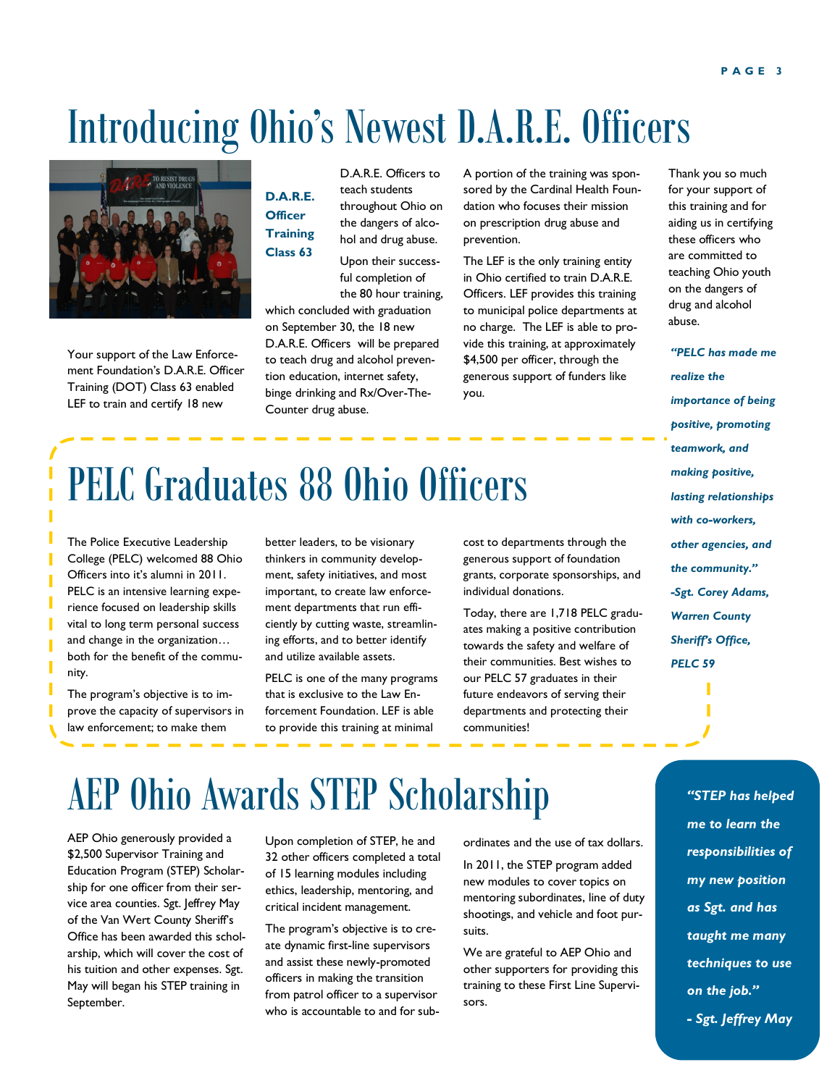## Introducing Ohio's Newest D.A.R.E. Officers



Your support of the Law Enforcement Foundation's D.A.R.E. Officer Training (DOT) Class 63 enabled LEF to train and certify 18 new

D.A.R.E. Officers to teach students throughout Ohio on the dangers of alcohol and drug abuse. **D.A.R.E. Officer Training Class 63**

Upon their successful completion of the 80 hour training,

which concluded with graduation on September 30, the 18 new D.A.R.E. Officers will be prepared to teach drug and alcohol prevention education, internet safety, binge drinking and Rx/Over-The-Counter drug abuse.

A portion of the training was sponsored by the Cardinal Health Foundation who focuses their mission on prescription drug abuse and prevention.

The LEF is the only training entity in Ohio certified to train D.A.R.E. Officers. LEF provides this training to municipal police departments at no charge. The LEF is able to provide this training, at approximately \$4,500 per officer, through the generous support of funders like you.

Thank you so much for your support of this training and for aiding us in certifying these officers who are committed to teaching Ohio youth on the dangers of drug and alcohol abuse.

*"PELC has made me realize the importance of being positive, promoting teamwork, and making positive, lasting relationships with co-workers, other agencies, and the community." -Sgt. Corey Adams, Warren County Sheriff's Office, PELC 59* 

## PELC Graduates 88 Ohio Officers

The Police Executive Leadership College (PELC) welcomed 88 Ohio Officers into it's alumni in 2011. PELC is an intensive learning experience focused on leadership skills vital to long term personal success and change in the organization… both for the benefit of the community.

The program's objective is to improve the capacity of supervisors in law enforcement; to make them

better leaders, to be visionary thinkers in community development, safety initiatives, and most important, to create law enforcement departments that run efficiently by cutting waste, streamlining efforts, and to better identify and utilize available assets.

PELC is one of the many programs that is exclusive to the Law Enforcement Foundation. LEF is able to provide this training at minimal

cost to departments through the generous support of foundation grants, corporate sponsorships, and individual donations.

Today, there are 1,718 PELC graduates making a positive contribution towards the safety and welfare of their communities. Best wishes to our PELC 57 graduates in their future endeavors of serving their departments and protecting their communities!

### AEP Ohio Awards STEP Scholarship

AEP Ohio generously provided a \$2,500 Supervisor Training and Education Program (STEP) Scholarship for one officer from their service area counties. Sgt. Jeffrey May of the Van Wert County Sheriff's Office has been awarded this scholarship, which will cover the cost of his tuition and other expenses. Sgt. May will began his STEP training in September.

Upon completion of STEP, he and 32 other officers completed a total of 15 learning modules including ethics, leadership, mentoring, and critical incident management.

The program's objective is to create dynamic first-line supervisors and assist these newly-promoted officers in making the transition from patrol officer to a supervisor who is accountable to and for subordinates and the use of tax dollars.

In 2011, the STEP program added new modules to cover topics on mentoring subordinates, line of duty shootings, and vehicle and foot pursuits.

We are grateful to AEP Ohio and other supporters for providing this training to these First Line Supervisors.

*"STEP has helped me to learn the responsibilities of my new position as Sgt. and has taught me many techniques to use on the job." - Sgt. Jeffrey May*